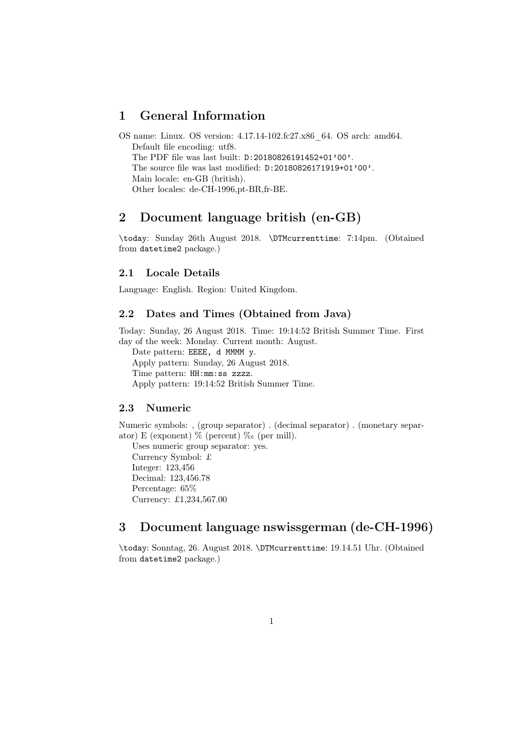# 1 General Information

OS name: Linux. OS version: 4.17.14-102.fc27.x86\_64. OS arch: amd64. Default file encoding: utf8. The PDF file was last built: D:20180826191452+01'00'. The source file was last modified: D:20180826171919+01'00'. Main locale: en-GB (british). Other locales: de-CH-1996,pt-BR,fr-BE.

# 2 Document language british (en-GB)

\today: Sunday 26th August 2018. \DTMcurrenttime: 7:14pm. (Obtained from datetime2 package.)

### 2.1 Locale Details

Language: English. Region: United Kingdom.

### 2.2 Dates and Times (Obtained from Java)

Today: Sunday, 26 August 2018. Time: 19:14:52 British Summer Time. First day of the week: Monday. Current month: August.

Date pattern: EEEE, d MMMM y. Apply pattern: Sunday, 26 August 2018. Time pattern: HH:mm:ss zzzz. Apply pattern: 19:14:52 British Summer Time.

# 2.3 Numeric

Numeric symbols: , (group separator) . (decimal separator) . (monetary separator) E (exponent)  $\%$  (percent)  $\%$  (per mill).

Uses numeric group separator: yes. Currency Symbol: £ Integer: 123,456 Decimal: 123,456.78 Percentage: 65% Currency: £1,234,567.00

# 3 Document language nswissgerman (de-CH-1996)

\today: Sonntag, 26. August 2018. \DTMcurrenttime: 19.14.51 Uhr. (Obtained from datetime2 package.)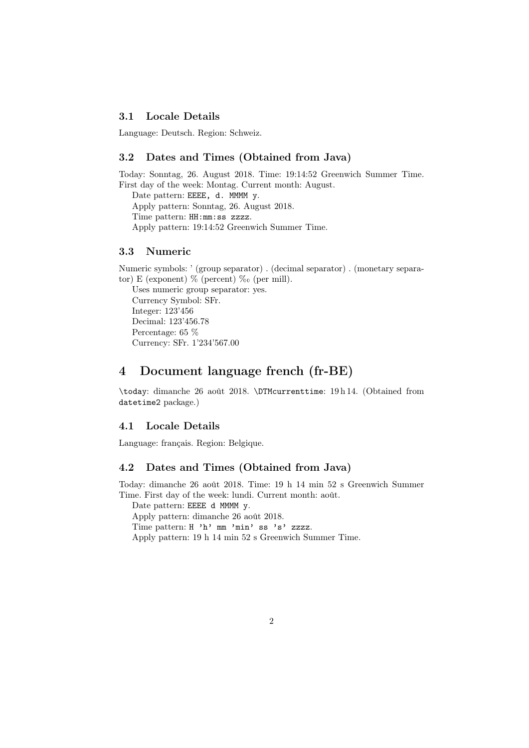## 3.1 Locale Details

Language: Deutsch. Region: Schweiz.

### 3.2 Dates and Times (Obtained from Java)

Today: Sonntag, 26. August 2018. Time: 19:14:52 Greenwich Summer Time. First day of the week: Montag. Current month: August. Date pattern: EEEE, d. MMMM y.

Apply pattern: Sonntag, 26. August 2018. Time pattern: HH:mm:ss zzzz. Apply pattern: 19:14:52 Greenwich Summer Time.

### 3.3 Numeric

Numeric symbols: ' (group separator) . (decimal separator) . (monetary separator) E (exponent)  $\%$  (percent)  $\%$  (per mill).

Uses numeric group separator: yes. Currency Symbol: SFr. Integer: 123'456 Decimal: 123'456.78 Percentage: 65 % Currency: SFr. 1'234'567.00

# 4 Document language french (fr-BE)

\today: dimanche 26 août 2018. \DTMcurrenttime: 19 h 14. (Obtained from datetime2 package.)

## 4.1 Locale Details

Language: français. Region: Belgique.

## 4.2 Dates and Times (Obtained from Java)

Today: dimanche 26 août 2018. Time: 19 h 14 min 52 s Greenwich Summer Time. First day of the week: lundi. Current month: août.

Date pattern: EEEE d MMMM y. Apply pattern: dimanche 26 août 2018. Time pattern: H 'h' mm 'min' ss 's' zzzz. Apply pattern: 19 h 14 min 52 s Greenwich Summer Time.